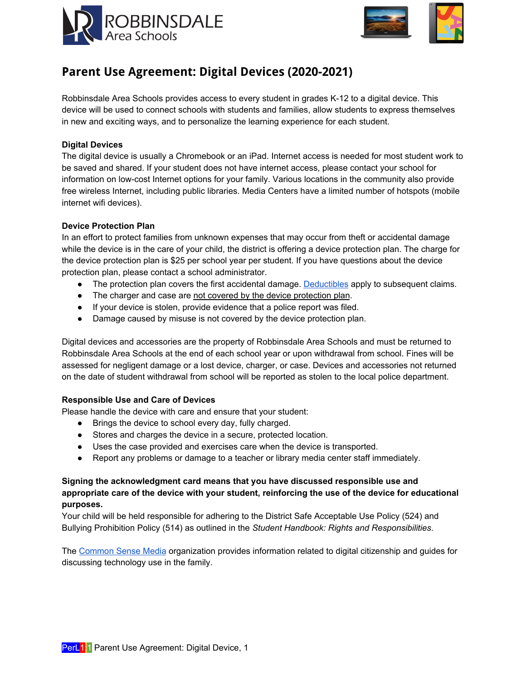



# **Parent Use Agreement: Digital Devices (2020-2021)**

Robbinsdale Area Schools provides access to every student in grades K-12 to a digital device. This device will be used to connect schools with students and families, allow students to express themselves in new and exciting ways, and to personalize the learning experience for each student.

## **Digital Devices**

The digital device is usually a Chromebook or an iPad. Internet access is needed for most student work to be saved and shared. If your student does not have internet access, please contact your school for information on low-cost Internet options for your family. Various locations in the community also provide free wireless Internet, including public libraries. Media Centers have a limited number of hotspots (mobile internet wifi devices).

### **Device Protection Plan**

In an effort to protect families from unknown expenses that may occur from theft or accidental damage while the device is in the care of your child, the district is offering a device protection plan. The charge for the device protection plan is \$25 per school year per student. If you have questions about the device protection plan, please contact a school administrator.

- The protection plan covers the first accidental damage. [Deductibles](#page-1-0) apply to subsequent claims.
- The charger and case are not covered by the device protection plan.
- If your device is stolen, provide evidence that a police report was filed.
- Damage caused by misuse is not covered by the device protection plan.

Digital devices and accessories are the property of Robbinsdale Area Schools and must be returned to Robbinsdale Area Schools at the end of each school year or upon withdrawal from school. Fines will be assessed for negligent damage or a lost device, charger, or case. Devices and accessories not returned on the date of student withdrawal from school will be reported as stolen to the local police department.

#### **Responsible Use and Care of Devices**

Please handle the device with care and ensure that your student:

- Brings the device to school every day, fully charged.
- Stores and charges the device in a secure, protected location.
- Uses the case provided and exercises care when the device is transported.
- Report any problems or damage to a teacher or library media center staff immediately.

## **Signing the acknowledgment card means that you have discussed responsible use and appropriate care of the device with your student, reinforcing the use of the device for educational purposes.**

Your child will be held responsible for adhering to the District Safe Acceptable Use Policy (524) and Bullying Prohibition Policy (514) as outlined in the *Student Handbook: Rights and Responsibilities*.

The [Common](http://www.commonsensemedia.org/) Sense Media organization provides information related to digital citizenship and guides for discussing technology use in the family.